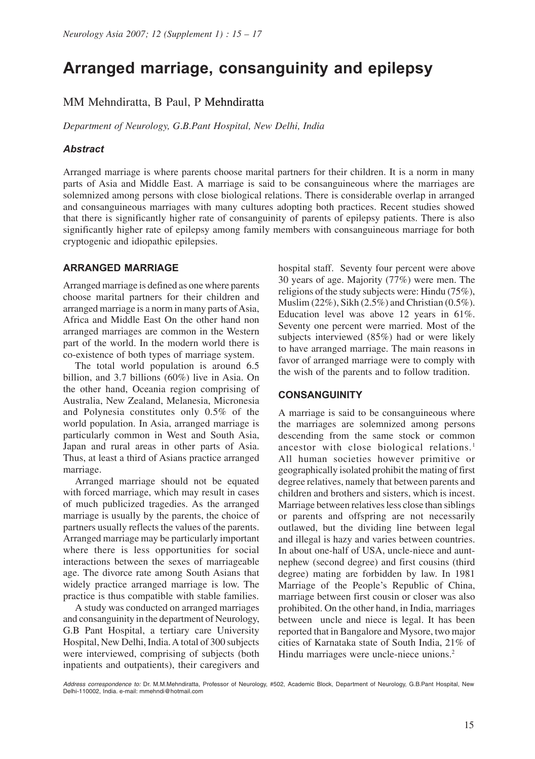# **Arranged marriage, consanguinity and epilepsy**

## MM Mehndiratta, B Paul, P Mehndiratta

*Department of Neurology, G.B.Pant Hospital, New Delhi, India*

### *Abstract*

Arranged marriage is where parents choose marital partners for their children. It is a norm in many parts of Asia and Middle East. A marriage is said to be consanguineous where the marriages are solemnized among persons with close biological relations. There is considerable overlap in arranged and consanguineous marriages with many cultures adopting both practices. Recent studies showed that there is significantly higher rate of consanguinity of parents of epilepsy patients. There is also significantly higher rate of epilepsy among family members with consanguineous marriage for both cryptogenic and idiopathic epilepsies.

## **ARRANGED MARRIAGE**

Arranged marriage is defined as one where parents choose marital partners for their children and arranged marriage is a norm in many parts of Asia, Africa and Middle East On the other hand non arranged marriages are common in the Western part of the world. In the modern world there is co-existence of both types of marriage system.

The total world population is around 6.5 billion, and 3.7 billions (60%) live in Asia. On the other hand, Oceania region comprising of Australia, New Zealand, Melanesia, Micronesia and Polynesia constitutes only 0.5% of the world population. In Asia, arranged marriage is particularly common in West and South Asia, Japan and rural areas in other parts of Asia. Thus, at least a third of Asians practice arranged marriage.

Arranged marriage should not be equated with forced marriage, which may result in cases of much publicized tragedies. As the arranged marriage is usually by the parents, the choice of partners usually reflects the values of the parents. Arranged marriage may be particularly important where there is less opportunities for social interactions between the sexes of marriageable age. The divorce rate among South Asians that widely practice arranged marriage is low. The practice is thus compatible with stable families.

A study was conducted on arranged marriages and consanguinity in the department of Neurology, G.B Pant Hospital, a tertiary care University Hospital, New Delhi, India. A total of 300 subjects were interviewed, comprising of subjects (both inpatients and outpatients), their caregivers and hospital staff. Seventy four percent were above 30 years of age. Majority (77%) were men. The religions of the study subjects were: Hindu (75%), Muslim (22%), Sikh (2.5%) and Christian (0.5%). Education level was above 12 years in 61%. Seventy one percent were married. Most of the subjects interviewed (85%) had or were likely to have arranged marriage. The main reasons in favor of arranged marriage were to comply with the wish of the parents and to follow tradition.

#### **CONSANGUINITY**

A marriage is said to be consanguineous where the marriages are solemnized among persons descending from the same stock or common ancestor with close biological relations.1 All human societies however primitive or geographically isolated prohibit the mating of first degree relatives, namely that between parents and children and brothers and sisters, which is incest. Marriage between relatives less close than siblings or parents and offspring are not necessarily outlawed, but the dividing line between legal and illegal is hazy and varies between countries. In about one-half of USA, uncle-niece and auntnephew (second degree) and first cousins (third degree) mating are forbidden by law. In 1981 Marriage of the People's Republic of China, marriage between first cousin or closer was also prohibited. On the other hand, in India, marriages between uncle and niece is legal. It has been reported that in Bangalore and Mysore, two major cities of Karnataka state of South India, 21% of Hindu marriages were uncle-niece unions.<sup>2</sup>

*Address correspondence to:* Dr. M.M.Mehndiratta, Professor of Neurology, #502, Academic Block, Department of Neurology, G.B.Pant Hospital, New Delhi-110002, India. e-mail: mmehndi@hotmail.com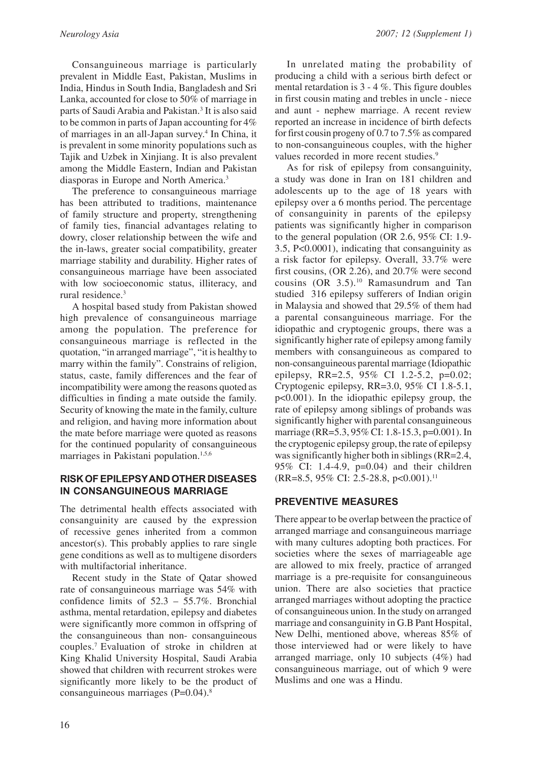Consanguineous marriage is particularly prevalent in Middle East, Pakistan, Muslims in India, Hindus in South India, Bangladesh and Sri Lanka, accounted for close to 50% of marriage in parts of Saudi Arabia and Pakistan.3 It is also said to be common in parts of Japan accounting for 4% of marriages in an all-Japan survey.<sup>4</sup> In China, it is prevalent in some minority populations such as Tajik and Uzbek in Xinjiang. It is also prevalent among the Middle Eastern, Indian and Pakistan diasporas in Europe and North America.3

The preference to consanguineous marriage has been attributed to traditions, maintenance of family structure and property, strengthening of family ties, financial advantages relating to dowry, closer relationship between the wife and the in-laws, greater social compatibility, greater marriage stability and durability. Higher rates of consanguineous marriage have been associated with low socioeconomic status, illiteracy, and rural residence.3

A hospital based study from Pakistan showed high prevalence of consanguineous marriage among the population. The preference for consanguineous marriage is reflected in the quotation, "in arranged marriage", "it is healthy to marry within the family". Constrains of religion, status, caste, family differences and the fear of incompatibility were among the reasons quoted as difficulties in finding a mate outside the family. Security of knowing the mate in the family, culture and religion, and having more information about the mate before marriage were quoted as reasons for the continued popularity of consanguineous marriages in Pakistani population.<sup>1,5,6</sup>

## **RISK OF EPILEPSY AND OTHER DISEASES IN CONSANGUINEOUS MARRIAGE**

The detrimental health effects associated with consanguinity are caused by the expression of recessive genes inherited from a common ancestor(s). This probably applies to rare single gene conditions as well as to multigene disorders with multifactorial inheritance.

Recent study in the State of Qatar showed rate of consanguineous marriage was 54% with confidence limits of 52.3 – 55.7%. Bronchial asthma, mental retardation, epilepsy and diabetes were significantly more common in offspring of the consanguineous than non- consanguineous couples.7 Evaluation of stroke in children at King Khalid University Hospital, Saudi Arabia showed that children with recurrent strokes were significantly more likely to be the product of consanguineous marriages  $(P=0.04)^8$ 

In unrelated mating the probability of producing a child with a serious birth defect or mental retardation is 3 - 4 %. This figure doubles in first cousin mating and trebles in uncle - niece and aunt - nephew marriage. A recent review reported an increase in incidence of birth defects for first cousin progeny of 0.7 to 7.5% as compared to non-consanguineous couples, with the higher values recorded in more recent studies.<sup>9</sup>

As for risk of epilepsy from consanguinity, a study was done in Iran on 181 children and adolescents up to the age of 18 years with epilepsy over a 6 months period. The percentage of consanguinity in parents of the epilepsy patients was significantly higher in comparison to the general population (OR 2.6, 95% CI: 1.9- 3.5, P<0.0001), indicating that consanguinity as a risk factor for epilepsy. Overall, 33.7% were first cousins, (OR 2.26), and 20.7% were second cousins  $(OR\ 3.5).^{10}$  Ramasundrum and Tan studied 316 epilepsy sufferers of Indian origin in Malaysia and showed that 29.5% of them had a parental consanguineous marriage. For the idiopathic and cryptogenic groups, there was a significantly higher rate of epilepsy among family members with consanguineous as compared to non-consanguineous parental marriage (Idiopathic epilepsy, RR=2.5, 95% CI 1.2-5.2, p=0.02; Cryptogenic epilepsy, RR=3.0, 95% CI 1.8-5.1, p<0.001). In the idiopathic epilepsy group, the rate of epilepsy among siblings of probands was significantly higher with parental consanguineous marriage (RR=5.3, 95% CI: 1.8-15.3, p=0.001). In the cryptogenic epilepsy group, the rate of epilepsy was significantly higher both in siblings (RR=2.4, 95% CI: 1.4-4.9, p=0.04) and their children (RR=8.5, 95% CI: 2.5-28.8, p<0.001).<sup>11</sup>

# **PREVENTIVE MEASURES**

There appear to be overlap between the practice of arranged marriage and consanguineous marriage with many cultures adopting both practices. For societies where the sexes of marriageable age are allowed to mix freely, practice of arranged marriage is a pre-requisite for consanguineous union. There are also societies that practice arranged marriages without adopting the practice of consanguineous union. In the study on arranged marriage and consanguinity in G.B Pant Hospital, New Delhi, mentioned above, whereas 85% of those interviewed had or were likely to have arranged marriage, only 10 subjects (4%) had consanguineous marriage, out of which 9 were Muslims and one was a Hindu.